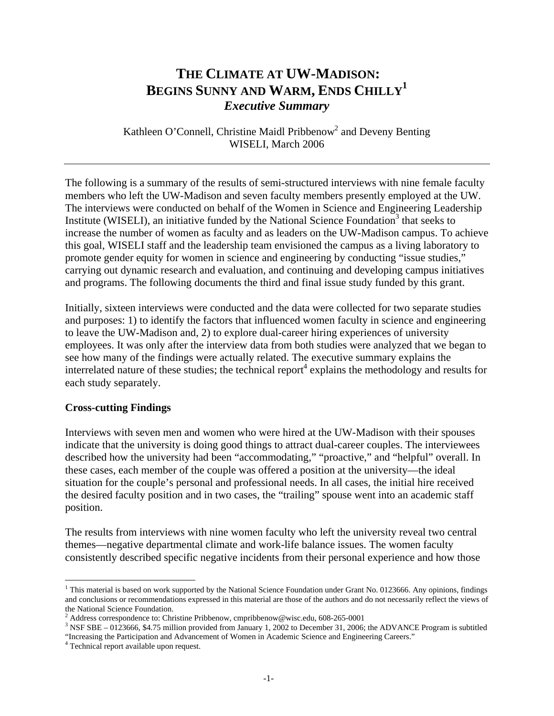# **THE CLIMATE AT UW-MADISON: BEGINS SUNNY AND WARM, ENDS CHILLY1** *Executive Summary*

Kathleen O'Connell, Christine Maidl Pribbenow<sup>2</sup> and Deveny Benting WISELI, March 2006

The following is a summary of the results of semi-structured interviews with nine female faculty members who left the UW-Madison and seven faculty members presently employed at the UW. The interviews were conducted on behalf of the Women in Science and Engineering Leadership Institute (WISELI), an initiative funded by the National Science Foundation<sup>3</sup> that seeks to increase the number of women as faculty and as leaders on the UW-Madison campus. To achieve this goal, WISELI staff and the leadership team envisioned the campus as a living laboratory to promote gender equity for women in science and engineering by conducting "issue studies," carrying out dynamic research and evaluation, and continuing and developing campus initiatives and programs. The following documents the third and final issue study funded by this grant.

Initially, sixteen interviews were conducted and the data were collected for two separate studies and purposes: 1) to identify the factors that influenced women faculty in science and engineering to leave the UW-Madison and, 2) to explore dual-career hiring experiences of university employees. It was only after the interview data from both studies were analyzed that we began to see how many of the findings were actually related. The executive summary explains the interrelated nature of these studies; the technical report<sup>4</sup> explains the methodology and results for each study separately.

# **Cross-cutting Findings**

Interviews with seven men and women who were hired at the UW-Madison with their spouses indicate that the university is doing good things to attract dual-career couples. The interviewees described how the university had been "accommodating," "proactive," and "helpful" overall. In these cases, each member of the couple was offered a position at the university—the ideal situation for the couple's personal and professional needs. In all cases, the initial hire received the desired faculty position and in two cases, the "trailing" spouse went into an academic staff position.

The results from interviews with nine women faculty who left the university reveal two central themes—negative departmental climate and work-life balance issues. The women faculty consistently described specific negative incidents from their personal experience and how those

 $\overline{a}$ <sup>1</sup> This material is based on work supported by the National Science Foundation under Grant No. 0123666. Any opinions, findings and conclusions or recommendations expressed in this material are those of the authors and do not necessarily reflect the views of the National Science Foundation.

<sup>&</sup>lt;sup>2</sup> Address correspondence to: Christine Pribbenow, cmpribbenow@wisc.edu, 608-265-0001<br><sup>3</sup> NSE SPE 0123666, \$4.75 million provided from January 1, 2002 to December 21, 2006;

<sup>&</sup>lt;sup>3</sup> NSF SBE – 0123666, \$4.75 million provided from January 1, 2002 to December 31, 2006; the ADVANCE Program is subtitled "Increasing the Participation and Advancement of Women in Academic Science and Engineering Careers." 4

Technical report available upon request.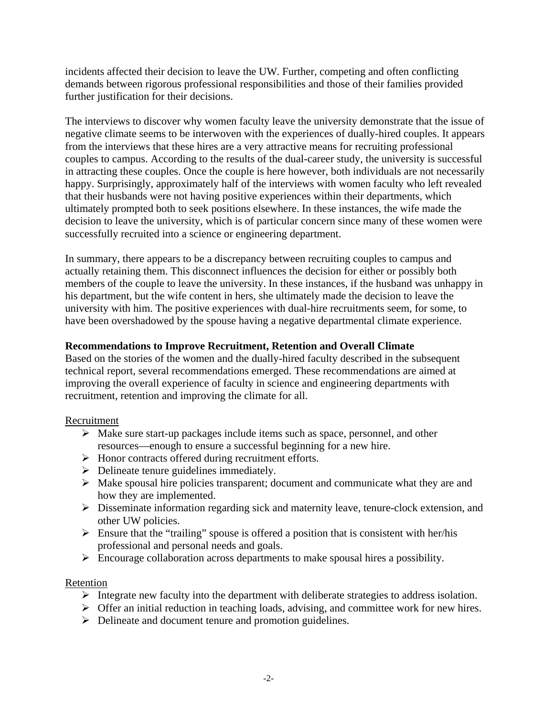incidents affected their decision to leave the UW. Further, competing and often conflicting demands between rigorous professional responsibilities and those of their families provided further justification for their decisions.

The interviews to discover why women faculty leave the university demonstrate that the issue of negative climate seems to be interwoven with the experiences of dually-hired couples. It appears from the interviews that these hires are a very attractive means for recruiting professional couples to campus. According to the results of the dual-career study, the university is successful in attracting these couples. Once the couple is here however, both individuals are not necessarily happy. Surprisingly, approximately half of the interviews with women faculty who left revealed that their husbands were not having positive experiences within their departments, which ultimately prompted both to seek positions elsewhere. In these instances, the wife made the decision to leave the university, which is of particular concern since many of these women were successfully recruited into a science or engineering department.

In summary, there appears to be a discrepancy between recruiting couples to campus and actually retaining them. This disconnect influences the decision for either or possibly both members of the couple to leave the university. In these instances, if the husband was unhappy in his department, but the wife content in hers, she ultimately made the decision to leave the university with him. The positive experiences with dual-hire recruitments seem, for some, to have been overshadowed by the spouse having a negative departmental climate experience.

# **Recommendations to Improve Recruitment, Retention and Overall Climate**

Based on the stories of the women and the dually-hired faculty described in the subsequent technical report, several recommendations emerged. These recommendations are aimed at improving the overall experience of faculty in science and engineering departments with recruitment, retention and improving the climate for all.

# Recruitment

- $\triangleright$  Make sure start-up packages include items such as space, personnel, and other resources—enough to ensure a successful beginning for a new hire.
- $\triangleright$  Honor contracts offered during recruitment efforts.
- $\triangleright$  Delineate tenure guidelines immediately.
- $\triangleright$  Make spousal hire policies transparent; document and communicate what they are and how they are implemented.
- ¾ Disseminate information regarding sick and maternity leave, tenure-clock extension, and other UW policies.
- $\triangleright$  Ensure that the "trailing" spouse is offered a position that is consistent with her/his professional and personal needs and goals.
- $\triangleright$  Encourage collaboration across departments to make spousal hires a possibility.

# Retention

- $\triangleright$  Integrate new faculty into the department with deliberate strategies to address isolation.
- $\triangleright$  Offer an initial reduction in teaching loads, advising, and committee work for new hires.
- $\triangleright$  Delineate and document tenure and promotion guidelines.